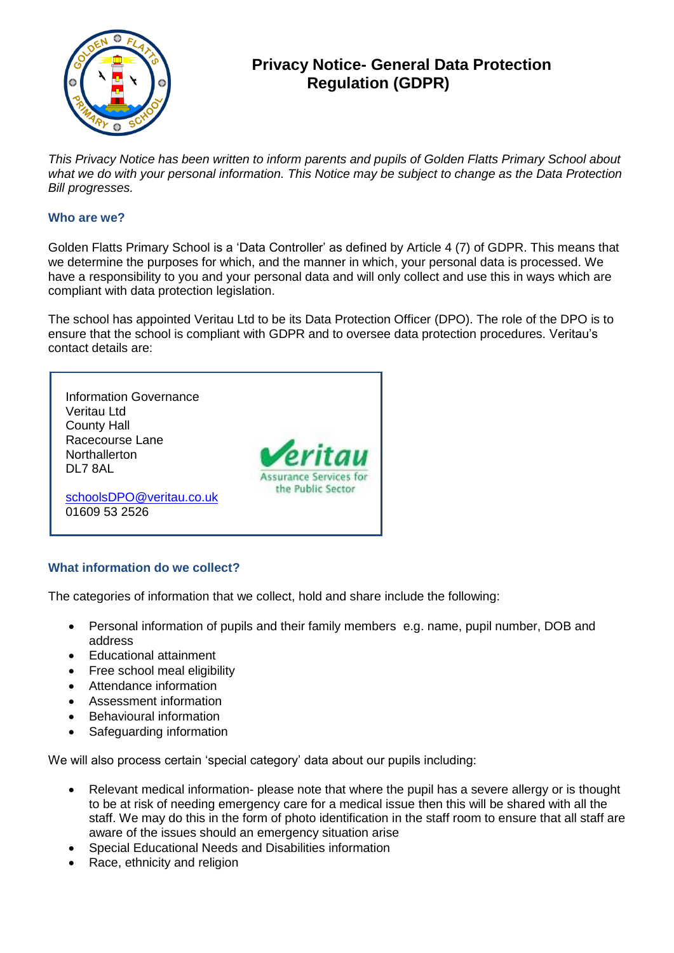

# **Privacy Notice- General Data Protection Regulation (GDPR)**

*This Privacy Notice has been written to inform parents and pupils of Golden Flatts Primary School about what we do with your personal information. This Notice may be subject to change as the Data Protection Bill progresses.*

### **Who are we?**

Golden Flatts Primary School is a 'Data Controller' as defined by Article 4 (7) of GDPR. This means that we determine the purposes for which, and the manner in which, your personal data is processed. We have a responsibility to you and your personal data and will only collect and use this in ways which are compliant with data protection legislation.

The school has appointed Veritau Ltd to be its Data Protection Officer (DPO). The role of the DPO is to ensure that the school is compliant with GDPR and to oversee data protection procedures. Veritau's contact details are:



### **What information do we collect?**

The categories of information that we collect, hold and share include the following:

- Personal information of pupils and their family members e.g. name, pupil number, DOB and address
- Educational attainment
- Free school meal eligibility
- Attendance information
- Assessment information
- Behavioural information
- Safeguarding information

We will also process certain 'special category' data about our pupils including:

- Relevant medical information- please note that where the pupil has a severe allergy or is thought to be at risk of needing emergency care for a medical issue then this will be shared with all the staff. We may do this in the form of photo identification in the staff room to ensure that all staff are aware of the issues should an emergency situation arise
- Special Educational Needs and Disabilities information
- Race, ethnicity and religion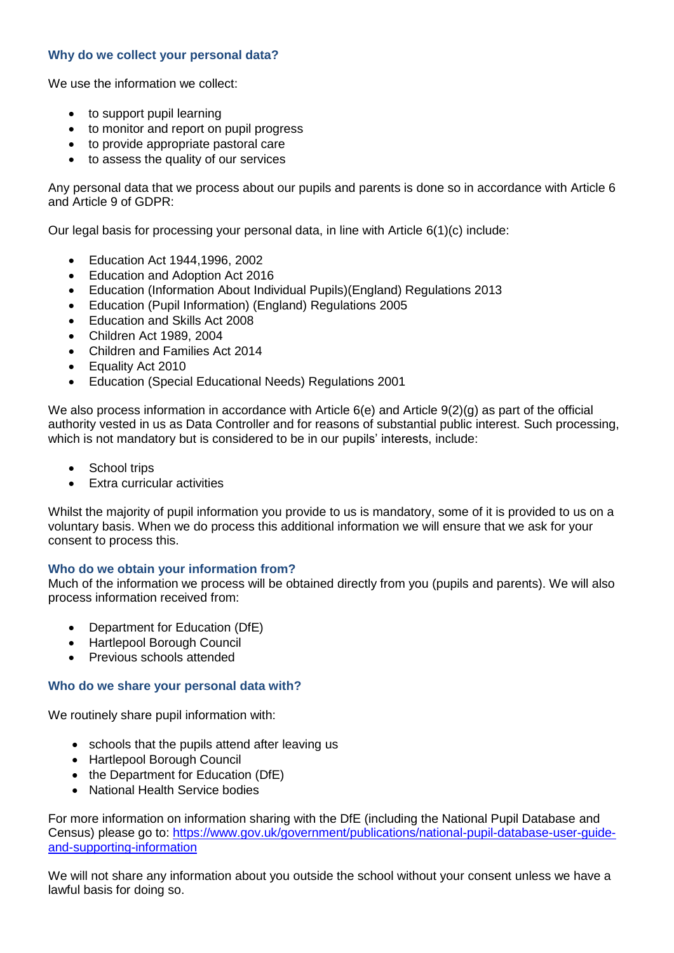## **Why do we collect your personal data?**

We use the information we collect:

- to support pupil learning
- to monitor and report on pupil progress
- to provide appropriate pastoral care
- to assess the quality of our services

Any personal data that we process about our pupils and parents is done so in accordance with Article 6 and Article 9 of GDPR:

Our legal basis for processing your personal data, in line with Article 6(1)(c) include:

- Education Act 1944,1996, 2002
- Education and Adoption Act 2016
- Education (Information About Individual Pupils)(England) Regulations 2013
- Education (Pupil Information) (England) Regulations 2005
- Education and Skills Act 2008
- Children Act 1989, 2004
- Children and Families Act 2014
- Equality Act 2010
- Education (Special Educational Needs) Regulations 2001

We also process information in accordance with Article 6(e) and Article 9(2)(g) as part of the official authority vested in us as Data Controller and for reasons of substantial public interest. Such processing, which is not mandatory but is considered to be in our pupils' interests, include:

- School trips
- Extra curricular activities

Whilst the majority of pupil information you provide to us is mandatory, some of it is provided to us on a voluntary basis. When we do process this additional information we will ensure that we ask for your consent to process this.

### **Who do we obtain your information from?**

Much of the information we process will be obtained directly from you (pupils and parents). We will also process information received from:

- Department for Education (DfE)
- Hartlepool Borough Council
- **•** Previous schools attended

### **Who do we share your personal data with?**

We routinely share pupil information with:

- schools that the pupils attend after leaving us
- Hartlepool Borough Council
- the Department for Education (DfE)
- National Health Service bodies

For more information on information sharing with the DfE (including the National Pupil Database and Census) please go to: [https://www.gov.uk/government/publications/national-pupil-database-user-guide](https://www.gov.uk/government/publications/national-pupil-database-user-guide-and-supporting-information)[and-supporting-information](https://www.gov.uk/government/publications/national-pupil-database-user-guide-and-supporting-information)

We will not share any information about you outside the school without your consent unless we have a lawful basis for doing so.